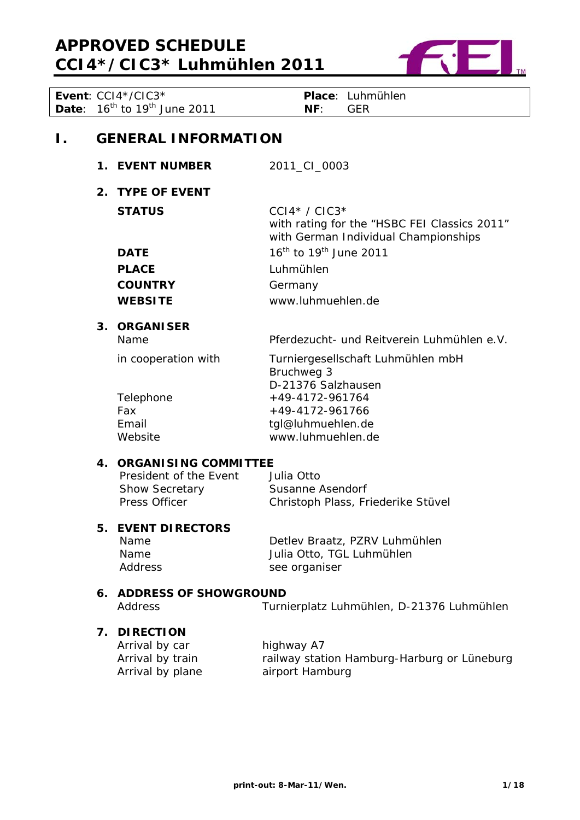

|    |    | Event: CCI4*/CIC3*                            | Place: Luhmühlen                                                |
|----|----|-----------------------------------------------|-----------------------------------------------------------------|
|    |    | <b>Date:</b> $16^{th}$ to $19^{th}$ June 2011 | NF:<br><b>GER</b>                                               |
|    |    |                                               |                                                                 |
| Ι. |    | <b>GENERAL INFORMATION</b>                    |                                                                 |
|    |    |                                               |                                                                 |
|    |    | 1. EVENT NUMBER                               | 2011_CI_0003                                                    |
|    |    | 2. TYPE OF EVENT                              |                                                                 |
|    |    |                                               |                                                                 |
|    |    | <b>STATUS</b>                                 | $CCI4* / CIC3*$<br>with rating for the "HSBC FEI Classics 2011" |
|    |    |                                               | with German Individual Championships                            |
|    |    | <b>DATE</b>                                   | $16^{\text{th}}$ to $19^{\text{th}}$ June 2011                  |
|    |    | <b>PLACE</b>                                  | Luhmühlen                                                       |
|    |    |                                               |                                                                 |
|    |    | <b>COUNTRY</b>                                | Germany                                                         |
|    |    | <b>WEBSITE</b>                                | www.luhmuehlen.de                                               |
|    |    | 3. ORGANISER                                  |                                                                 |
|    |    | Name                                          | Pferdezucht- und Reitverein Luhmühlen e.V.                      |
|    |    | in cooperation with                           | Turniergesellschaft Luhmühlen mbH                               |
|    |    |                                               | Bruchweg 3                                                      |
|    |    |                                               | D-21376 Salzhausen                                              |
|    |    | Telephone                                     | +49-4172-961764                                                 |
|    |    | Fax                                           | +49-4172-961766                                                 |
|    |    | Email                                         | tgl@luhmuehlen.de                                               |
|    |    | Website                                       | www.luhmuehlen.de                                               |
|    |    | 4. ORGANISING COMMITTEE                       |                                                                 |
|    |    | President of the Event                        | Julia Otto                                                      |
|    |    | <b>Show Secretary</b>                         | Susanne Asendorf                                                |
|    |    | Press Officer                                 | Christoph Plass, Friederike Stüvel                              |
|    | 5. | <b>EVENT DIRECTORS</b>                        |                                                                 |
|    |    | Name                                          | Detlev Braatz, PZRV Luhmühlen                                   |
|    |    | Name                                          | Julia Otto, TGL Luhmühlen                                       |
|    |    | Address                                       | see organiser                                                   |
|    | 6. | <b>ADDRESS OF SHOWGROUND</b>                  |                                                                 |
|    |    | Address                                       | Turnierplatz Luhmühlen, D-21376 Luhmühlen                       |
|    |    |                                               |                                                                 |
|    | 7. | <b>DIRECTION</b>                              |                                                                 |
|    |    | Arrival by car                                | highway A7                                                      |
|    |    | Arrival by train                              | railway station Hamburg-Harburg or Lüneburg                     |
|    |    | Arrival by plane                              | airport Hamburg                                                 |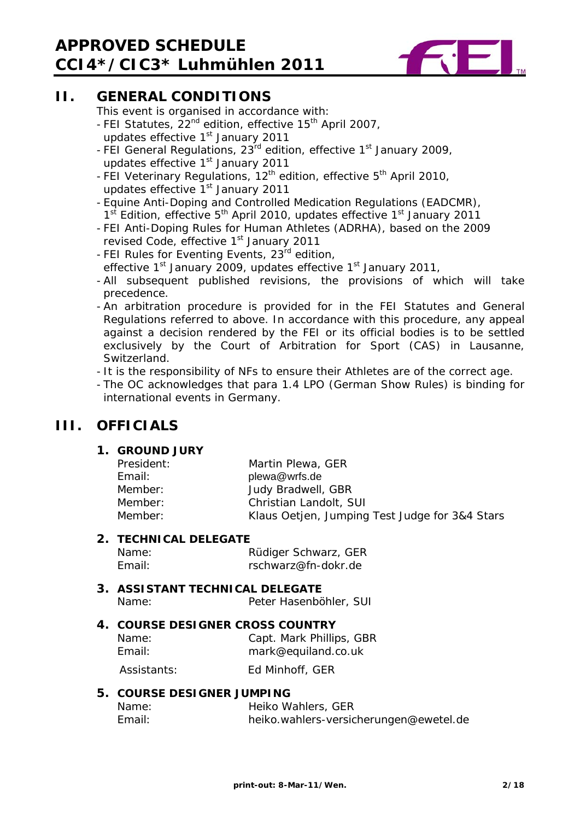# **APPROVED SCHEDULE CCI4\*/CIC3\* Luhmühlen 2011**



# **II. GENERAL CONDITIONS**

This event is organised in accordance with:

- FEI Statutes,  $22^{nd}$  edition, effective 15<sup>th</sup> April 2007,
- updates effective 1<sup>st</sup> January 2011
- FEI General Regulations, 23<sup>rd</sup> edition, effective 1<sup>st</sup> January 2009, updates effective 1<sup>st</sup> January 2011
- FEI Veterinary Regulations, 12<sup>th</sup> edition, effective 5<sup>th</sup> April 2010, updates effective 1<sup>st</sup> January 2011
- Equine Anti-Doping and Controlled Medication Regulations (EADCMR),  $1<sup>st</sup>$  Edition, effective  $5<sup>th</sup>$  April 2010, updates effective  $1<sup>st</sup>$  January 2011
- FEI Anti-Doping Rules for Human Athletes (ADRHA), based on the 2009 revised Code, effective 1<sup>st</sup> January 2011
- FEI Rules for Eventing Events, 23<sup>rd</sup> edition, effective 1<sup>st</sup> January 2009, updates effective 1<sup>st</sup> January 2011,
- All subsequent published revisions, the provisions of which will take precedence.
- An arbitration procedure is provided for in the FEI Statutes and General Regulations referred to above. In accordance with this procedure, any appeal against a decision rendered by the FEI or its official bodies is to be settled exclusively by the Court of Arbitration for Sport (CAS) in Lausanne, **Switzerland**
- It is the responsibility of NFs to ensure their Athletes are of the correct age.
- The OC acknowledges that para 1.4 LPO (German Show Rules) is binding for international events in Germany.

# **III. OFFICIALS**

# **1. GROUND JURY**

| President: | Martin Plewa, GER                              |
|------------|------------------------------------------------|
| Email:     | plewa@wrfs.de                                  |
| Member:    | Judy Bradwell, GBR                             |
| Member:    | Christian Landolt, SUI                         |
| Member:    | Klaus Oetjen, Jumping Test Judge for 3&4 Stars |
|            |                                                |

# **2. TECHNICAL DELEGATE**

Name: Rüdiger Schwarz, GER Email: rschwarz@fn-dokr.de

# **3. ASSISTANT TECHNICAL DELEGATE**  Name: Peter Hasenböhler, SUI

# **4. COURSE DESIGNER CROSS COUNTRY**

Name: Capt. Mark Phillips, GBR Email: mark@equiland.co.uk

Assistants: Ed Minhoff, GER

# **5. COURSE DESIGNER JUMPING**

| Name:  | Heiko Wahlers, GER                     |
|--------|----------------------------------------|
| Email: | heiko.wahlers-versicherungen@ewetel.de |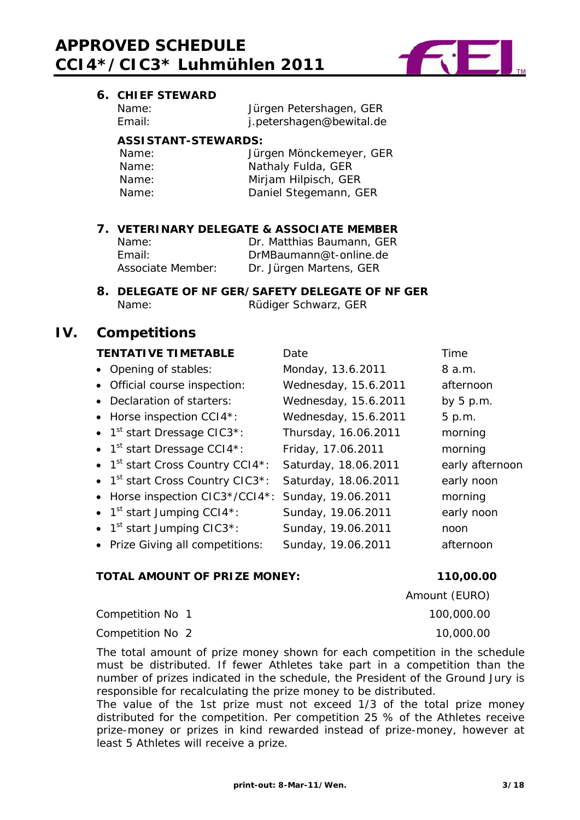

# **6. CHIEF STEWARD**

| Name:  |  |
|--------|--|
| Email: |  |

Jürgen Petershagen, GER j.petershagen@bewital.de

# **ASSISTANT-STEWARDS:**

| Name: | Jürgen Mönckemeyer, GER |
|-------|-------------------------|
| Name: | Nathaly Fulda, GER      |
| Name: | Mirjam Hilpisch, GER    |
| Name: | Daniel Stegemann, GER   |

# **7. VETERINARY DELEGATE & ASSOCIATE MEMBER**

| Name:             | Dr. Matthias Baumann, GER |
|-------------------|---------------------------|
| Fmail:            | DrMBaumann@t-online.de    |
| Associate Member: | Dr. Jürgen Martens, GER   |

### **8. DELEGATE OF NF GER/SAFETY DELEGATE OF NF GER**  Name: Rüdiger Schwarz, GER

# **IV. Competitions**

# **TENTATIVE TIMETABLE** Date Time

| • Opening of stables:                                             | Monday, 13.6.2011    | 8 a.m.          |
|-------------------------------------------------------------------|----------------------|-----------------|
| • Official course inspection:                                     | Wednesday, 15.6.2011 | afternoon       |
| • Declaration of starters:                                        | Wednesday, 15.6.2011 | by $5$ p.m.     |
| • Horse inspection CCI4*:                                         | Wednesday, 15.6.2011 | 5 p.m.          |
| • $1st$ start Dressage CIC3 <sup>*</sup> :                        | Thursday, 16.06.2011 | morning         |
| • $1st$ start Dressage CCI4*:                                     | Friday, 17.06.2011   | morning         |
| • 1 <sup>st</sup> start Cross Country CCI4*:                      | Saturday, 18.06.2011 | early afternoon |
| $\bullet$ 1 <sup>st</sup> start Cross Country CIC3 <sup>*</sup> : | Saturday, 18.06.2011 | early noon      |
| • Horse inspection CIC3*/CCI4*:                                   | Sunday, 19.06.2011   | morning         |
| • $1^{st}$ start Jumping CCI4*:                                   | Sunday, 19.06.2011   | early noon      |
| $\bullet$ 1 <sup>st</sup> start Jumping CIC3 <sup>*</sup> :       | Sunday, 19.06.2011   | noon            |
| • Prize Giving all competitions:                                  | Sunday, 19.06.2011   | afternoon       |
|                                                                   |                      |                 |

# **TOTAL AMOUNT OF PRIZE MONEY: 110,00.00**

Competition No 1 100,000.00

Competition No 2 10,000.00

The total amount of prize money shown for each competition in the schedule must be distributed. If fewer Athletes take part in a competition than the number of prizes indicated in the schedule, the President of the Ground Jury is responsible for recalculating the prize money to be distributed.

The value of the 1st prize must not exceed 1/3 of the total prize money distributed for the competition. Per competition 25 % of the Athletes receive prize-money or prizes in kind rewarded instead of prize-money, however at least 5 Athletes will receive a prize.

Amount (EURO)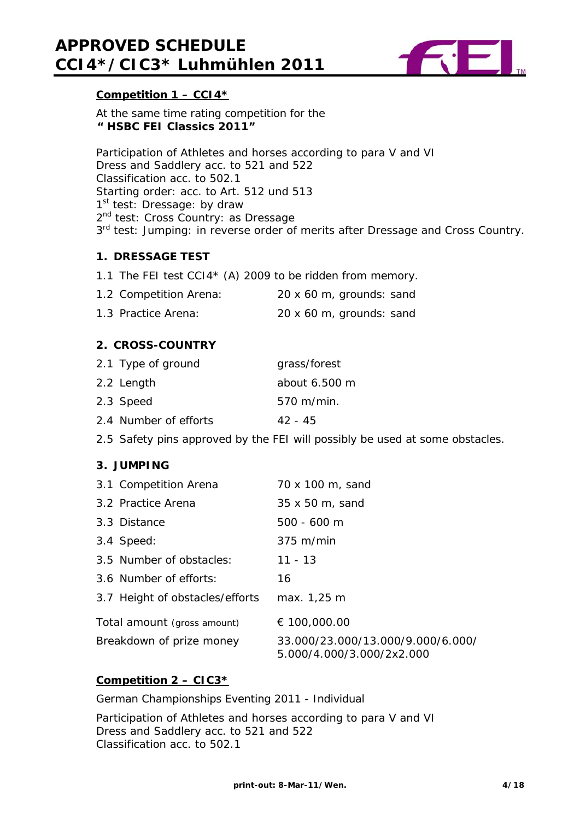

# **Competition 1 – CCI4\***

At the same time rating competition for the  **" HSBC FEI Classics 2011"** 

Participation of Athletes and horses according to para V and VI Dress and Saddlery acc. to 521 and 522 Classification acc. to 502.1 Starting order: acc. to Art. 512 und 513 1<sup>st</sup> test: Dressage: by draw 2<sup>nd</sup> test: Cross Country: as Dressage 3<sup>rd</sup> test: Jumping: in reverse order of merits after Dressage and Cross Country.

### **1. DRESSAGE TEST**

1.1 The FEI test CCI4\* (A) 2009 to be ridden from memory.

| 1.2 Competition Arena: | 20 x 60 m, grounds: sand |
|------------------------|--------------------------|
| 1.3 Practice Arena:    | 20 x 60 m, grounds: sand |

# **2. CROSS-COUNTRY**

| 2.1 Type of ground    | grass/forest  |
|-----------------------|---------------|
| 2.2 Length            | about 6.500 m |
| 2.3 Speed             | $570$ m/min.  |
| 2.4 Number of efforts | 42 - 45       |

2.5 Safety pins approved by the FEI will possibly be used at some obstacles.

### **3. JUMPING**

|                             | 3.1 Competition Arena           | 70 x 100 m, sand                                               |
|-----------------------------|---------------------------------|----------------------------------------------------------------|
|                             | 3.2 Practice Arena              | 35 x 50 m, sand                                                |
|                             | 3.3 Distance                    | $500 - 600$ m                                                  |
|                             | 3.4 Speed:                      | 375 m/min                                                      |
|                             | 3.5 Number of obstacles:        | $11 - 13$                                                      |
|                             | 3.6 Number of efforts:          | 16                                                             |
|                             | 3.7 Height of obstacles/efforts | max. 1,25 m                                                    |
| Total amount (gross amount) |                                 | € 100,000.00                                                   |
| Breakdown of prize money    |                                 | 33.000/23.000/13.000/9.000/6.000/<br>5.000/4.000/3.000/2x2.000 |

# **Competition 2 – CIC3\***

German Championships Eventing 2011 - Individual

Participation of Athletes and horses according to para V and VI Dress and Saddlery acc. to 521 and 522 Classification acc. to 502.1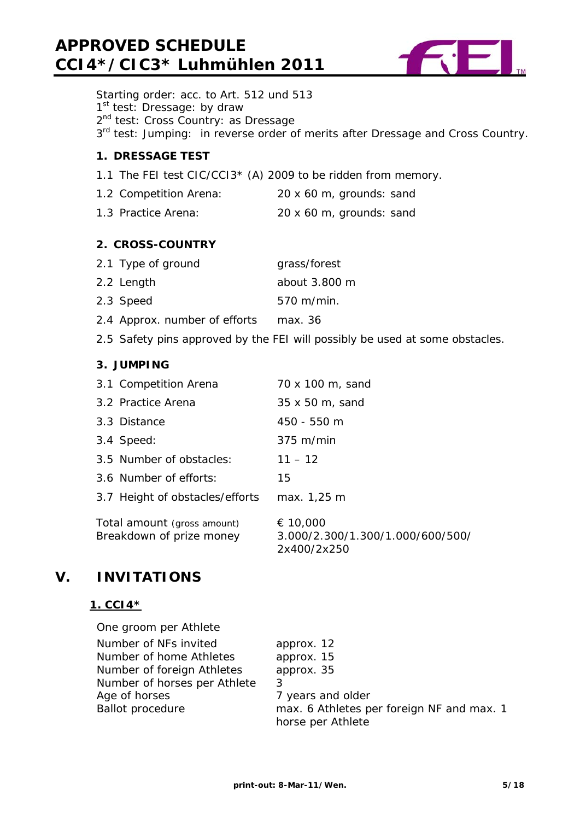# **APPROVED SCHEDULE CCI4\*/CIC3\* Luhmühlen 2011**



Starting order: acc. to Art. 512 und 513 1<sup>st</sup> test: Dressage: by draw 2<sup>nd</sup> test: Cross Country: as Dressage 3<sup>rd</sup> test: Jumping: in reverse order of merits after Dressage and Cross Country. **1. DRESSAGE TEST**  1.1 The FEI test CIC/CCI3\* (A) 2009 to be ridden from memory.

- 1.2 Competition Arena: 20 x 60 m, grounds: sand
- 1.3 Practice Arena: 20 x 60 m, grounds: sand

# **2. CROSS-COUNTRY**

| 2.1 Type of ground            | grass/forest              |
|-------------------------------|---------------------------|
| 2.2 Length                    | about 3.800 m             |
| 2.3 Speed                     | $570 \; \mathrm{m/min}$ . |
| 2.4 Approx. number of efforts | max. 36                   |

2.5 Safety pins approved by the FEI will possibly be used at some obstacles.

### **3. JUMPING**

|                                                         | 3.1 Competition Arena           | 70 x 100 m, sand                                            |
|---------------------------------------------------------|---------------------------------|-------------------------------------------------------------|
|                                                         | 3.2 Practice Arena              | 35 x 50 m, sand                                             |
|                                                         | 3.3 Distance                    | 450 - 550 m                                                 |
|                                                         | 3.4 Speed:                      | $375 \text{ m/min}$                                         |
|                                                         | 3.5 Number of obstacles:        | $11 - 12$                                                   |
|                                                         | 3.6 Number of efforts:          | 15                                                          |
|                                                         | 3.7 Height of obstacles/efforts | max. 1,25 m                                                 |
| Total amount (gross amount)<br>Breakdown of prize money |                                 | € 10,000<br>3.000/2.300/1.300/1.000/600/500/<br>2x400/2x250 |

# **V. INVITATIONS**

### **1. CCI4\***

| One groom per Athlete        |                                                                |
|------------------------------|----------------------------------------------------------------|
| Number of NFs invited        | approx. 12                                                     |
| Number of home Athletes      | approx. 15                                                     |
| Number of foreign Athletes   | approx. 35                                                     |
| Number of horses per Athlete |                                                                |
| Age of horses                | 7 years and older                                              |
| <b>Ballot procedure</b>      | max. 6 Athletes per foreign NF and max. 1<br>horse per Athlete |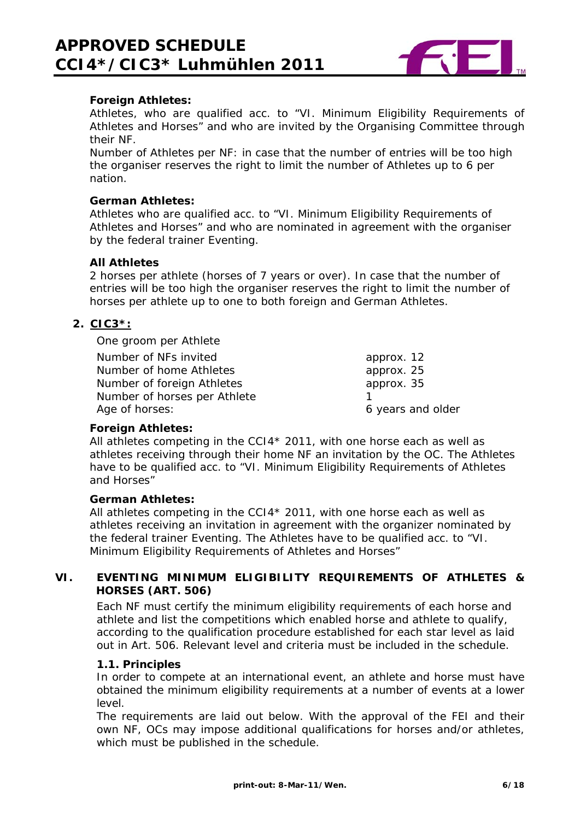

### **Foreign Athletes:**

Athletes, who are qualified acc. to "VI. Minimum Eligibility Requirements of Athletes and Horses" and who are invited by the Organising Committee through their NF.

Number of Athletes per NF: in case that the number of entries will be too high the organiser reserves the right to limit the number of Athletes up to 6 per nation.

#### **German Athletes:**

Athletes who are qualified acc. to "VI. Minimum Eligibility Requirements of Athletes and Horses" and who are nominated in agreement with the organiser by the federal trainer Eventing.

#### **All Athletes**

2 horses per athlete (horses of 7 years or over). In case that the number of entries will be too high the organiser reserves the right to limit the number of horses per athlete up to one to both foreign and German Athletes.

# **2. CIC3\*:**

One groom per Athlete

| Number of NFs invited        | approx. 12        |
|------------------------------|-------------------|
| Number of home Athletes      | approx. 25        |
| Number of foreign Athletes   | approx. 35        |
| Number of horses per Athlete |                   |
| Age of horses:               | 6 years and older |

### **Foreign Athletes:**

All athletes competing in the CCI4\* 2011, with one horse each as well as athletes receiving through their home NF an invitation by the OC. The Athletes have to be qualified acc. to "VI. Minimum Eligibility Requirements of Athletes and Horses"

#### **German Athletes:**

All athletes competing in the CCI4\* 2011, with one horse each as well as athletes receiving an invitation in agreement with the organizer nominated by the federal trainer Eventing. The Athletes have to be qualified acc. to "VI. Minimum Eligibility Requirements of Athletes and Horses"

# **VI. EVENTING MINIMUM ELIGIBILITY REQUIREMENTS OF ATHLETES & HORSES (ART. 506)**

Each NF must certify the minimum eligibility requirements of each horse and athlete and list the competitions which enabled horse and athlete to qualify, according to the qualification procedure established for each star level as laid out in Art. 506. Relevant level and criteria must be included in the schedule.

### **1.1. Principles**

In order to compete at an international event, an athlete and horse must have obtained the minimum eligibility requirements at a number of events at a lower level.

The requirements are laid out below. With the approval of the FEI and their own NF, OCs may impose additional qualifications for horses and/or athletes, which must be published in the schedule.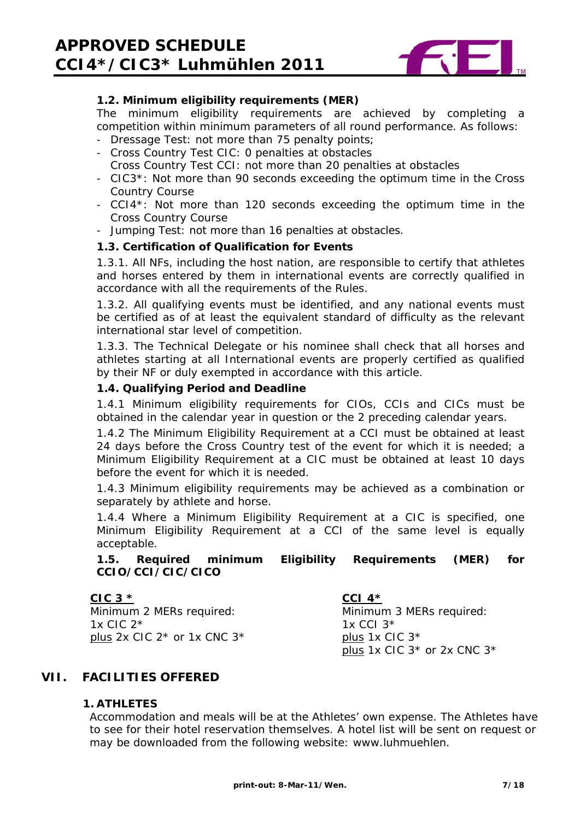

# **1.2. Minimum eligibility requirements (MER)**

The minimum eligibility requirements are achieved by completing a competition within minimum parameters of all round performance. As follows:

- Dressage Test: not more than 75 penalty points;
- Cross Country Test CIC: 0 penalties at obstacles
- Cross Country Test CCI: not more than 20 penalties at obstacles
- CIC3\*: Not more than 90 seconds exceeding the optimum time in the Cross Country Course
- CCI4\*: Not more than 120 seconds exceeding the optimum time in the Cross Country Course
- Jumping Test: not more than 16 penalties at obstacles.

### **1.3. Certification of Qualification for Events**

1.3.1. All NFs, including the host nation, are responsible to certify that athletes and horses entered by them in international events are correctly qualified in accordance with all the requirements of the Rules.

1.3.2. All qualifying events must be identified, and any national events must be certified as of at least the equivalent standard of difficulty as the relevant international star level of competition.

1.3.3. The Technical Delegate or his nominee shall check that all horses and athletes starting at all International events are properly certified as qualified by their NF or duly exempted in accordance with this article.

#### **1.4. Qualifying Period and Deadline**

1.4.1 Minimum eligibility requirements for CIOs, CCIs and CICs must be obtained in the calendar year in question or the 2 preceding calendar years.

1.4.2 The Minimum Eligibility Requirement at a CCI must be obtained at least 24 days before the Cross Country test of the event for which it is needed; a Minimum Eligibility Requirement at a CIC must be obtained at least 10 days before the event for which it is needed.

1.4.3 Minimum eligibility requirements may be achieved as a combination or separately by athlete and horse.

1.4.4 Where a Minimum Eligibility Requirement at a CIC is specified, one Minimum Eligibility Requirement at a CCI of the same level is equally acceptable.

# **1.5. Required minimum Eligibility Requirements (MER) for CCIO/CCI/CIC/CICO**

### **CIC 3 \***

Minimum 2 MERs required: 1 $x$  CIC  $2*$ plus 2x CIC 2\* or 1x CNC 3\*

### **CCI 4\***

Minimum 3 MERs required: 1x CCI 3\* plus 1x CIC 3\* plus 1x CIC 3\* or 2x CNC 3\*

### **VII. FACILITIES OFFERED**

### **1. ATHLETES**

Accommodation and meals will be at the Athletes' own expense. The Athletes have to see for their hotel reservation themselves. A hotel list will be sent on request or may be downloaded from the following website: www.luhmuehlen.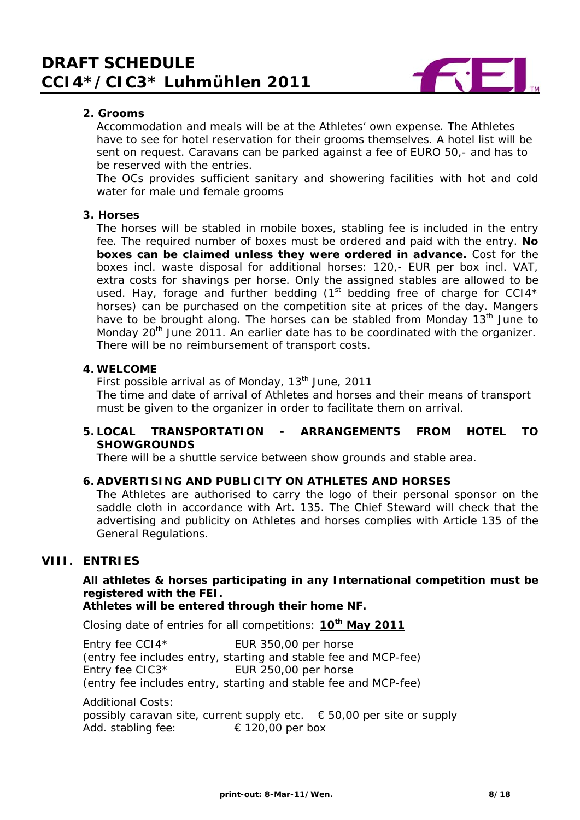

# **2. Grooms**

Accommodation and meals will be at the Athletes' own expense. The Athletes have to see for hotel reservation for their grooms themselves. A hotel list will be sent on request. Caravans can be parked against a fee of EURO 50,- and has to be reserved with the entries.

The OCs provides sufficient sanitary and showering facilities with hot and cold water for male und female grooms

#### **3. Horses**

The horses will be stabled in mobile boxes, stabling fee is included in the entry fee. The required number of boxes must be ordered and paid with the entry. **No boxes can be claimed unless they were ordered in advance.** Cost for the boxes incl. waste disposal for additional horses: 120,- EUR per box incl. VAT, extra costs for shavings per horse. Only the assigned stables are allowed to be used. Hay, forage and further bedding  $(1<sup>st</sup>$  bedding free of charge for CCI4\* horses) can be purchased on the competition site at prices of the day. Mangers have to be brought along. The horses can be stabled from Monday 13<sup>th</sup> June to Monday 20<sup>th</sup> June 2011. An earlier date has to be coordinated with the organizer. There will be no reimbursement of transport costs.

#### **4. WELCOME**

First possible arrival as of Monday, 13<sup>th</sup> June, 2011

The time and date of arrival of Athletes and horses and their means of transport must be given to the organizer in order to facilitate them on arrival.

### **5. LOCAL TRANSPORTATION - ARRANGEMENTS FROM HOTEL TO SHOWGROUNDS**

There will be a shuttle service between show grounds and stable area.

### **6. ADVERTISING AND PUBLICITY ON ATHLETES AND HORSES**

The Athletes are authorised to carry the logo of their personal sponsor on the saddle cloth in accordance with Art. 135. The Chief Steward will check that the advertising and publicity on Athletes and horses complies with Article 135 of the General Regulations.

# **VIII. ENTRIES**

# **All athletes & horses participating in any International competition must be registered with the FEI.**

**Athletes will be entered through their home NF.** 

Closing date of entries for all competitions: **10th May 2011**

Entry fee CCI4<sup>\*</sup> EUR 350,00 per horse (entry fee includes entry, starting and stable fee and MCP-fee) Entry fee CIC3<sup>\*</sup> EUR 250,00 per horse (entry fee includes entry, starting and stable fee and MCP-fee)

Additional Costs:

possibly caravan site, current supply etc.  $\epsilon$  50,00 per site or supply Add. stabling fee:  $\epsilon$  120,00 per box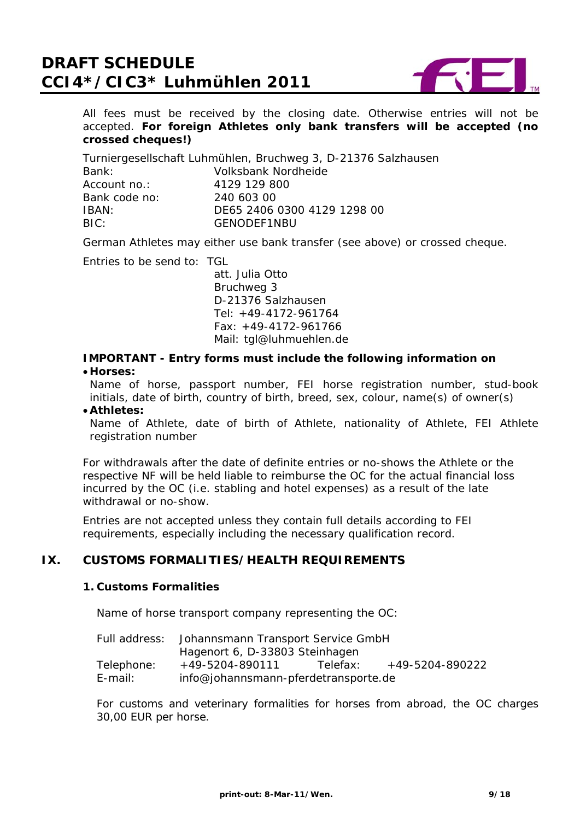

All fees must be received by the closing date. Otherwise entries will not be accepted. **For foreign Athletes only bank transfers will be accepted (no crossed cheques!)**

Turniergesellschaft Luhmühlen, Bruchweg 3, D-21376 Salzhausen Bank: Volksbank Nordheide Account no.: 4129 129 800 Bank code no: 240 603 00 IBAN: DE65 2406 0300 4129 1298 00 BIC: GENODEF1NBU

German Athletes may either use bank transfer (see above) or crossed cheque.

Entries to be send to: TGL

 att. Julia Otto Bruchweg 3 D-21376 Salzhausen Tel: +49-4172-961764 Fax: +49-4172-961766 Mail: tgl@luhmuehlen.de

**IMPORTANT - Entry forms must include the following information on** 

• **Horses:** 

Name of horse, passport number, FEI horse registration number, stud-book initials, date of birth, country of birth, breed, sex, colour, name(s) of owner(s)

• **Athletes:** 

Name of Athlete, date of birth of Athlete, nationality of Athlete, FEI Athlete registration number

For withdrawals after the date of definite entries or no-shows the Athlete or the respective NF will be held liable to reimburse the OC for the actual financial loss incurred by the OC (i.e. stabling and hotel expenses) as a result of the late withdrawal or no-show.

Entries are not accepted unless they contain full details according to FEI requirements, especially including the necessary qualification record.

# **IX. CUSTOMS FORMALITIES/HEALTH REQUIREMENTS**

#### **1. Customs Formalities**

Name of horse transport company representing the OC:

|            | Full address: Johannsmann Transport Service GmbH |          |                 |
|------------|--------------------------------------------------|----------|-----------------|
|            | Hagenort 6, D-33803 Steinhagen                   |          |                 |
| Telephone: | +49-5204-890111                                  | Telefax: | +49-5204-890222 |
| E-mail:    | info@johannsmann-pferdetransporte.de             |          |                 |

For customs and veterinary formalities for horses from abroad, the OC charges 30,00 EUR per horse.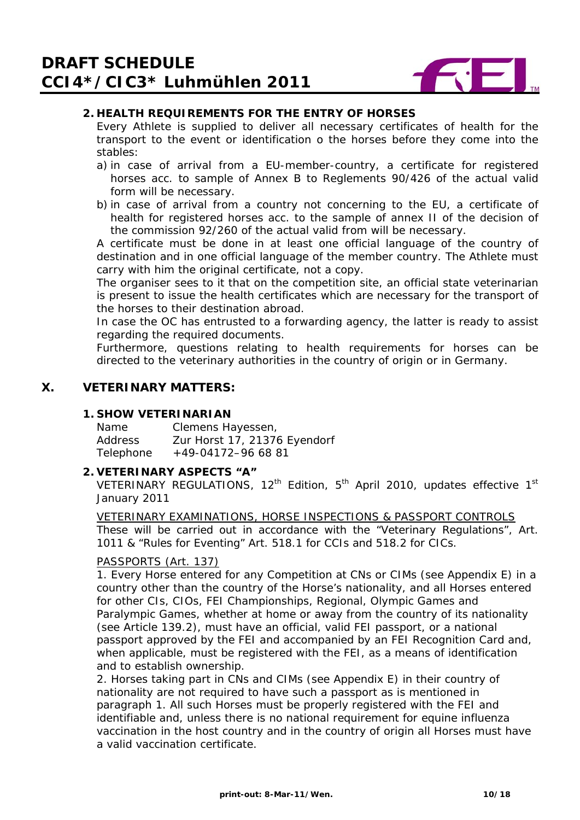

# **2. HEALTH REQUIREMENTS FOR THE ENTRY OF HORSES**

Every Athlete is supplied to deliver all necessary certificates of health for the transport to the event or identification o the horses before they come into the stables:

- a) in case of arrival from a EU-member-country, a certificate for registered horses acc. to sample of Annex B to Reglements 90/426 of the actual valid form will be necessary.
- b) in case of arrival from a country not concerning to the EU, a certificate of health for registered horses acc. to the sample of annex II of the decision of the commission 92/260 of the actual valid from will be necessary.

A certificate must be done in at least one official language of the country of destination and in one official language of the member country. The Athlete must carry with him the original certificate, not a copy.

The organiser sees to it that on the competition site, an official state veterinarian is present to issue the health certificates which are necessary for the transport of the horses to their destination abroad.

In case the OC has entrusted to a forwarding agency, the latter is ready to assist regarding the required documents.

Furthermore, questions relating to health requirements for horses can be directed to the veterinary authorities in the country of origin or in Germany.

# **X. VETERINARY MATTERS:**

#### **1. SHOW VETERINARIAN**

| Name      | Clemens Hayessen,            |
|-----------|------------------------------|
| Address   | Zur Horst 17, 21376 Eyendorf |
| Telephone | $+49-04172-966881$           |

### **2. VETERINARY ASPECTS "A"**

VETERINARY REGULATIONS,  $12^{th}$  Edition,  $5^{th}$  April 2010, updates effective 1st January 2011

VETERINARY EXAMINATIONS, HORSE INSPECTIONS & PASSPORT CONTROLS These will be carried out in accordance with the "Veterinary Regulations", Art. 1011 & "Rules for Eventing" Art. 518.1 for CCIs and 518.2 for CICs.

### PASSPORTS (Art. 137)

1. Every Horse entered for any Competition at CNs or CIMs (see Appendix E) in a country other than the country of the Horse's nationality, and all Horses entered for other CIs, CIOs, FEI Championships, Regional, Olympic Games and Paralympic Games, whether at home or away from the country of its nationality (see Article 139.2), must have an official, valid FEI passport, or a national passport approved by the FEI and accompanied by an FEI Recognition Card and, when applicable, must be registered with the FEI, as a means of identification and to establish ownership.

2. Horses taking part in CNs and CIMs (see Appendix E) in their country of nationality are not required to have such a passport as is mentioned in paragraph 1. All such Horses must be properly registered with the FEI and identifiable and, unless there is no national requirement for equine influenza vaccination in the host country and in the country of origin all Horses must have a valid vaccination certificate.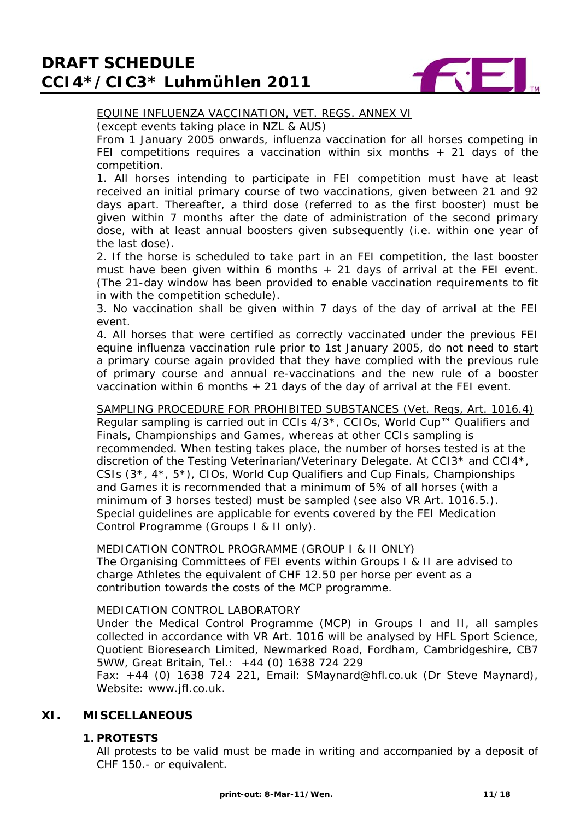

# EQUINE INFLUENZA VACCINATION, VET. REGS. ANNEX VI

(except events taking place in NZL & AUS)

From 1 January 2005 onwards, influenza vaccination for all horses competing in FEI competitions requires a vaccination within six months  $+$  21 days of the competition.

1. All horses intending to participate in FEI competition must have at least received an initial primary course of two vaccinations, given between 21 and 92 days apart. Thereafter, a third dose (referred to as the first booster) must be given within 7 months after the date of administration of the second primary dose, with at least annual boosters given subsequently (i.e. within one year of the last dose).

2. If the horse is scheduled to take part in an FEI competition, the last booster must have been given within 6 months  $+$  21 days of arrival at the FEI event. (The 21-day window has been provided to enable vaccination requirements to fit in with the competition schedule).

3. No vaccination shall be given within 7 days of the day of arrival at the FEI event.

4. All horses that were certified as correctly vaccinated under the previous FEI equine influenza vaccination rule prior to 1st January 2005, do not need to start a primary course again provided that they have complied with the previous rule of primary course and annual re-vaccinations and the new rule of a booster vaccination within 6 months + 21 days of the day of arrival at the FEI event.

### SAMPLING PROCEDURE FOR PROHIBITED SUBSTANCES (Vet. Regs, Art. 1016.4)

Regular sampling is carried out in CCIs 4/3\*, CCIOs, World Cup™ Qualifiers and Finals, Championships and Games, whereas at other CCIs sampling is recommended. When testing takes place, the number of horses tested is at the discretion of the Testing Veterinarian/Veterinary Delegate. At CCI3\* and CCI4\*, CSIs (3\*, 4\*, 5\*), CIOs, World Cup Qualifiers and Cup Finals, Championships and Games it is recommended that a minimum of 5% of all horses (with a minimum of 3 horses tested) must be sampled (see also VR Art. 1016.5.). Special guidelines are applicable for events covered by the FEI Medication Control Programme (Groups I & II only).

### MEDICATION CONTROL PROGRAMME (GROUP I & II ONLY)

The Organising Committees of FEI events within Groups I & II are advised to charge Athletes the equivalent of CHF 12.50 per horse per event as a contribution towards the costs of the MCP programme.

#### MEDICATION CONTROL LABORATORY

Under the Medical Control Programme (MCP) in Groups I and II, all samples collected in accordance with VR Art. 1016 will be analysed by HFL Sport Science, Quotient Bioresearch Limited, Newmarked Road, Fordham, Cambridgeshire, CB7 5WW, Great Britain, Tel.: +44 (0) 1638 724 229

Fax: +44 (0) 1638 724 221, Email: SMaynard@hfl.co.uk (Dr Steve Maynard), Website: www.ifl.co.uk.

# **XI. MISCELLANEOUS**

### **1. PROTESTS**

All protests to be valid must be made in writing and accompanied by a deposit of CHF 150.- or equivalent.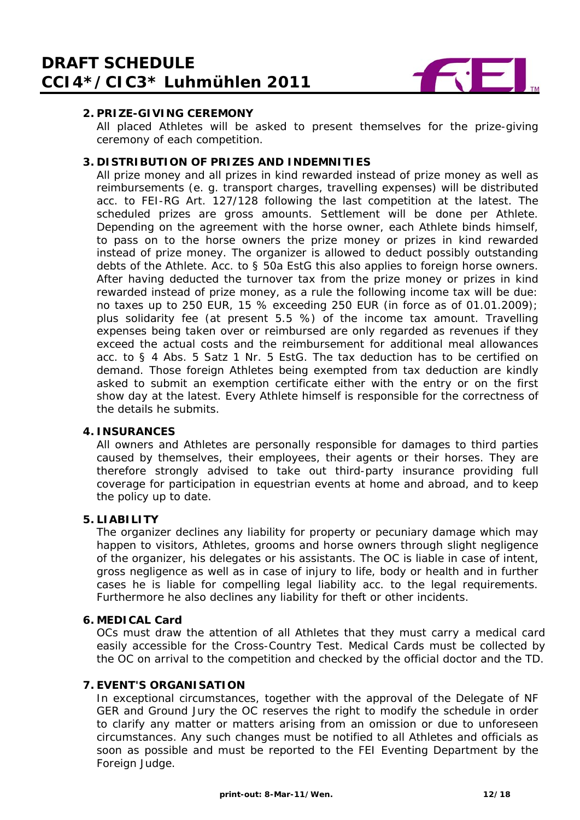

# **2. PRIZE-GIVING CEREMONY**

All placed Athletes will be asked to present themselves for the prize-giving ceremony of each competition.

### **3. DISTRIBUTION OF PRIZES AND INDEMNITIES**

All prize money and all prizes in kind rewarded instead of prize money as well as reimbursements (e. g. transport charges, travelling expenses) will be distributed acc. to FEI-RG Art. 127/128 following the last competition at the latest. The scheduled prizes are gross amounts. Settlement will be done per Athlete. Depending on the agreement with the horse owner, each Athlete binds himself, to pass on to the horse owners the prize money or prizes in kind rewarded instead of prize money. The organizer is allowed to deduct possibly outstanding debts of the Athlete. Acc. to § 50a EstG this also applies to foreign horse owners. After having deducted the turnover tax from the prize money or prizes in kind rewarded instead of prize money, as a rule the following income tax will be due: no taxes up to 250 EUR, 15 % exceeding 250 EUR (in force as of 01.01.2009); plus solidarity fee (at present 5.5 %) of the income tax amount. Travelling expenses being taken over or reimbursed are only regarded as revenues if they exceed the actual costs and the reimbursement for additional meal allowances acc. to § 4 Abs. 5 Satz 1 Nr. 5 EstG. The tax deduction has to be certified on demand. Those foreign Athletes being exempted from tax deduction are kindly asked to submit an exemption certificate either with the entry or on the first show day at the latest. Every Athlete himself is responsible for the correctness of the details he submits.

# **4. INSURANCES**

All owners and Athletes are personally responsible for damages to third parties caused by themselves, their employees, their agents or their horses. They are therefore strongly advised to take out third-party insurance providing full coverage for participation in equestrian events at home and abroad, and to keep the policy up to date.

# **5. LIABILITY**

The organizer declines any liability for property or pecuniary damage which may happen to visitors, Athletes, grooms and horse owners through slight negligence of the organizer, his delegates or his assistants. The OC is liable in case of intent, gross negligence as well as in case of injury to life, body or health and in further cases he is liable for compelling legal liability acc. to the legal requirements. Furthermore he also declines any liability for theft or other incidents.

#### **6. MEDICAL Card**

OCs must draw the attention of all Athletes that they must carry a medical card easily accessible for the Cross-Country Test. Medical Cards must be collected by the OC on arrival to the competition and checked by the official doctor and the TD.

### **7. EVENT'S ORGANISATION**

In exceptional circumstances, together with the approval of the Delegate of NF GER and Ground Jury the OC reserves the right to modify the schedule in order to clarify any matter or matters arising from an omission or due to unforeseen circumstances. Any such changes must be notified to all Athletes and officials as soon as possible and must be reported to the FEI Eventing Department by the Foreign Judge.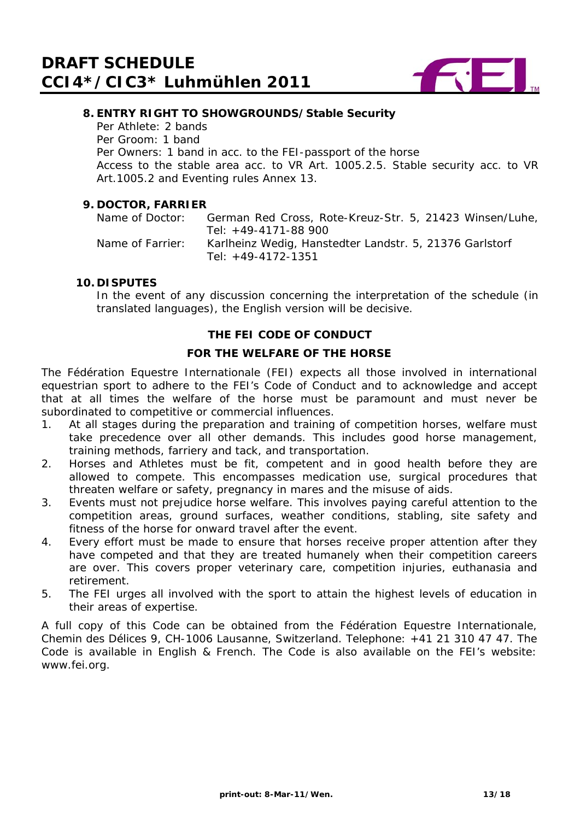

## **8. ENTRY RIGHT TO SHOWGROUNDS/Stable Security**

Per Athlete: 2 bands Per Groom: 1 band Per Owners: 1 band in acc. to the FEI-passport of the horse Access to the stable area acc. to VR Art. 1005.2.5. Stable security acc. to VR Art.1005.2 and Eventing rules Annex 13.

#### **9. DOCTOR, FARRIER**

Name of Doctor: German Red Cross, Rote-Kreuz-Str. 5, 21423 Winsen/Luhe, Tel: +49-4171-88 900 Name of Farrier: Karlheinz Wedig, Hanstedter Landstr. 5, 21376 Garlstorf Tel: +49-4172-1351

#### **10. DISPUTES**

In the event of any discussion concerning the interpretation of the schedule (in translated languages), the English version will be decisive.

### **THE FEI CODE OF CONDUCT**

#### **FOR THE WELFARE OF THE HORSE**

The Fédération Equestre Internationale (FEI) expects all those involved in international equestrian sport to adhere to the FEI's Code of Conduct and to acknowledge and accept that at all times the welfare of the horse must be paramount and must never be subordinated to competitive or commercial influences.

- 1. At all stages during the preparation and training of competition horses, welfare must take precedence over all other demands. This includes good horse management, training methods, farriery and tack, and transportation.
- 2. Horses and Athletes must be fit, competent and in good health before they are allowed to compete. This encompasses medication use, surgical procedures that threaten welfare or safety, pregnancy in mares and the misuse of aids.
- 3. Events must not prejudice horse welfare. This involves paying careful attention to the competition areas, ground surfaces, weather conditions, stabling, site safety and fitness of the horse for onward travel after the event.
- 4. Every effort must be made to ensure that horses receive proper attention after they have competed and that they are treated humanely when their competition careers are over. This covers proper veterinary care, competition injuries, euthanasia and retirement.
- 5. The FEI urges all involved with the sport to attain the highest levels of education in their areas of expertise.

A full copy of this Code can be obtained from the Fédération Equestre Internationale, Chemin des Délices 9, CH-1006 Lausanne, Switzerland. Telephone: +41 21 310 47 47. The Code is available in English & French. The Code is also available on the FEI's website: www.fei.org.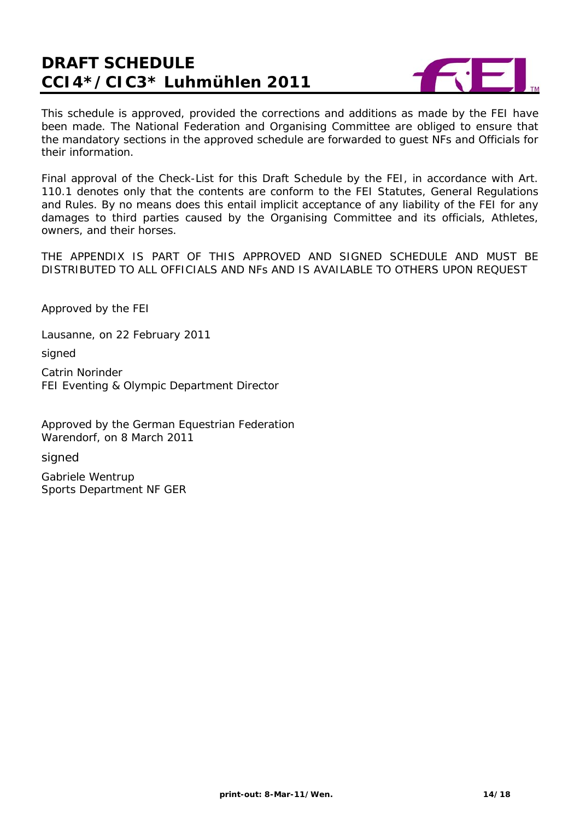

This schedule is approved, provided the corrections and additions as made by the FEI have been made. The National Federation and Organising Committee are obliged to ensure that the mandatory sections in the approved schedule are forwarded to guest NFs and Officials for their information.

Final approval of the Check-List for this Draft Schedule by the FEI, in accordance with Art. 110.1 denotes only that the contents are conform to the FEI Statutes, General Regulations and Rules. By no means does this entail implicit acceptance of any liability of the FEI for any damages to third parties caused by the Organising Committee and its officials, Athletes, owners, and their horses.

THE APPENDIX IS PART OF THIS APPROVED AND SIGNED SCHEDULE AND MUST BE DISTRIBUTED TO ALL OFFICIALS AND NFs AND IS AVAILABLE TO OTHERS UPON REQUEST

Approved by the FEI

Lausanne, on 22 February 2011

signed

Catrin Norinder FEI Eventing & Olympic Department Director

Approved by the German Equestrian Federation Warendorf, on 8 March 2011

signed

Gabriele Wentrup Sports Department NF GER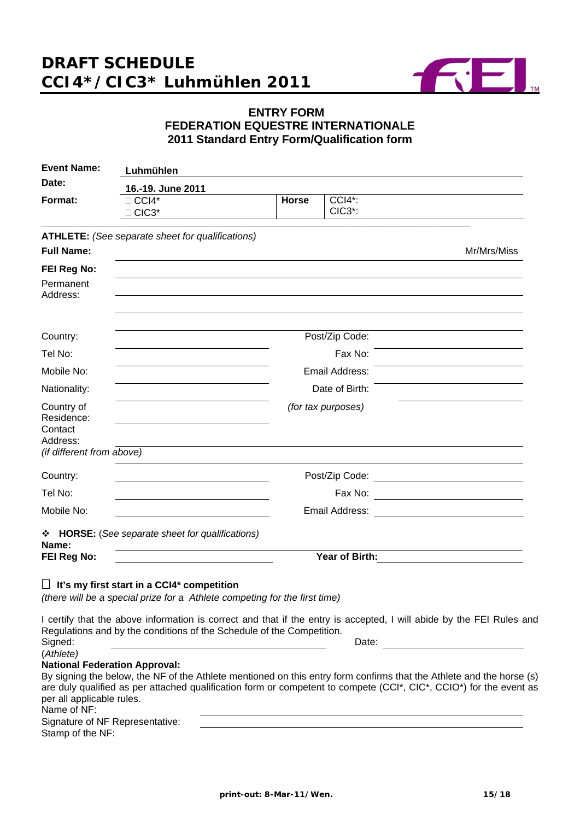

# **ENTRY FORM FEDERATION EQUESTRE INTERNATIONALE 2011 Standard Entry Form/Qualification form**

| <b>Event Name:</b>                              | Luhmühlen                                                                                                                              |              |                                                          |             |
|-------------------------------------------------|----------------------------------------------------------------------------------------------------------------------------------------|--------------|----------------------------------------------------------|-------------|
| Date:                                           | 16.-19. June 2011                                                                                                                      |              |                                                          |             |
| Format:                                         | $\Box$ CCI4*<br>□ CIC3*                                                                                                                | <b>Horse</b> | $CCI4$ <sup>*</sup> :<br>CIC <sub>3</sub> <sup>*</sup> : |             |
|                                                 | <b>ATHLETE:</b> (See separate sheet for qualifications)                                                                                |              |                                                          |             |
| <b>Full Name:</b>                               |                                                                                                                                        |              |                                                          | Mr/Mrs/Miss |
| FEI Reg No:                                     |                                                                                                                                        |              |                                                          |             |
| Permanent<br>Address:                           |                                                                                                                                        |              |                                                          |             |
| Country:                                        |                                                                                                                                        |              | Post/Zip Code:                                           |             |
| Tel No:                                         |                                                                                                                                        |              | Fax No:                                                  |             |
| Mobile No:                                      |                                                                                                                                        |              | Email Address:                                           |             |
| Nationality:                                    |                                                                                                                                        |              | Date of Birth:                                           |             |
| Country of<br>Residence:<br>Contact<br>Address: |                                                                                                                                        |              | (for tax purposes)                                       |             |
| (if different from above)                       |                                                                                                                                        |              |                                                          |             |
| Country:                                        |                                                                                                                                        |              | Post/Zip Code:                                           |             |
| Tel No:                                         |                                                                                                                                        |              | Fax No:                                                  |             |
| Mobile No:                                      |                                                                                                                                        |              | Email Address:                                           |             |
| Name:                                           | * HORSE: (See separate sheet for qualifications)                                                                                       |              |                                                          |             |
| FEI Reg No:                                     |                                                                                                                                        |              | Year of Birth:                                           |             |
|                                                 | $\Box$ It's my first start in a CCI4* competition<br>$(160.98 \times 1)$ ke a special prime for a Athlete compating for the first time |              |                                                          |             |

*(there will be a special prize for a Athlete competing for the first time)* 

I certify that the above information is correct and that if the entry is accepted, I will abide by the FEI Rules and Regulations and by the conditions of the Schedule of the Competition. Signed: **Date: Date: Date: Date: Date: Date: Date: Date: Date: Date: Date: Date: Date: Date: Date: Date: Date: Date: Date: Date: Date: Date: Date: Date: Date: Date: Date:** 

(*Athlete)* 

# **National Federation Approval:**

| By signing the below, the NF of the Athlete mentioned on this entry form confirms that the Athlete and the horse (s) |
|----------------------------------------------------------------------------------------------------------------------|
| are duly qualified as per attached qualification form or competent to compete (CCI*, CIC*, CCIO*) for the event as   |
| per all applicable rules.                                                                                            |
| Name of NF:                                                                                                          |

Signature of NF Representative: Stamp of the NF: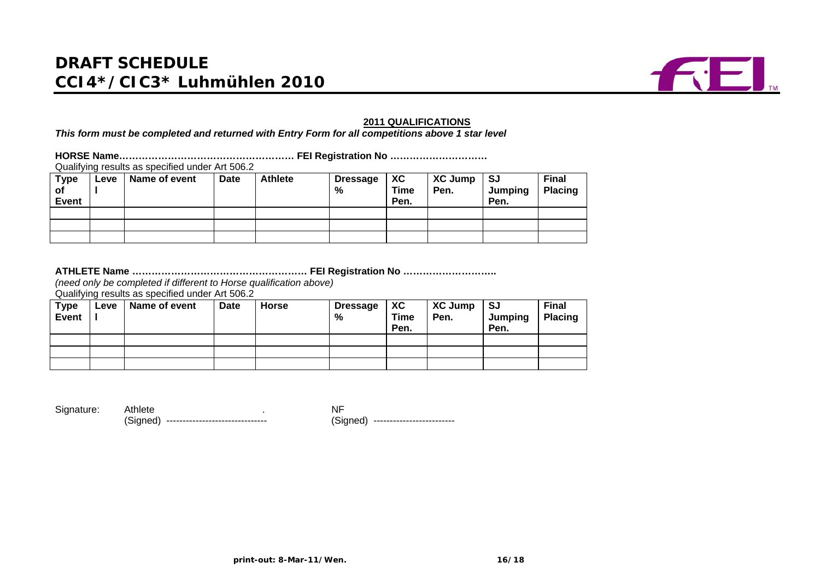

#### **2011 QUALIFICATIONS**

*This form must be completed and returned with Entry Form for all competitions above 1 star level* 

**HORSE Name……………………………………………… FEI Registration No …………………………** Qualifying results as specified under Art 506.2

| <b>Type</b><br>of<br>Event | $E$ eve | Name of event | <b>Date</b> | <b>Athlete</b> | <b>Dressage</b><br>% | XC<br><b>Time</b><br>Pen. | <b>XC Jump</b><br>Pen. | -SJ<br>Jumping<br>Pen. | <b>Final</b><br>Placing |
|----------------------------|---------|---------------|-------------|----------------|----------------------|---------------------------|------------------------|------------------------|-------------------------|
|                            |         |               |             |                |                      |                           |                        |                        |                         |
|                            |         |               |             |                |                      |                           |                        |                        |                         |
|                            |         |               |             |                |                      |                           |                        |                        |                         |

#### **ATHLETE Name ……………………………………………… FEI Registration No ………………………..**

*(need only be completed if different to Horse qualification above)*

Qualifying results as specified under Art 506.2

| <b>Type</b><br><b>Event</b> | $E$ eve | Name of event | Date | <b>Horse</b> | <b>Dressage</b><br>% | XC<br>Time<br>Pen. | <b>XC Jump</b><br>Pen. | SJ<br>Jumping<br>Pen. | <b>Final</b><br><b>Placing</b> |
|-----------------------------|---------|---------------|------|--------------|----------------------|--------------------|------------------------|-----------------------|--------------------------------|
|                             |         |               |      |              |                      |                    |                        |                       |                                |
|                             |         |               |      |              |                      |                    |                        |                       |                                |
|                             |         |               |      |              |                      |                    |                        |                       |                                |

Signature: Athlete . NF

(Signed) ------------------------------- (Signed) -------------------------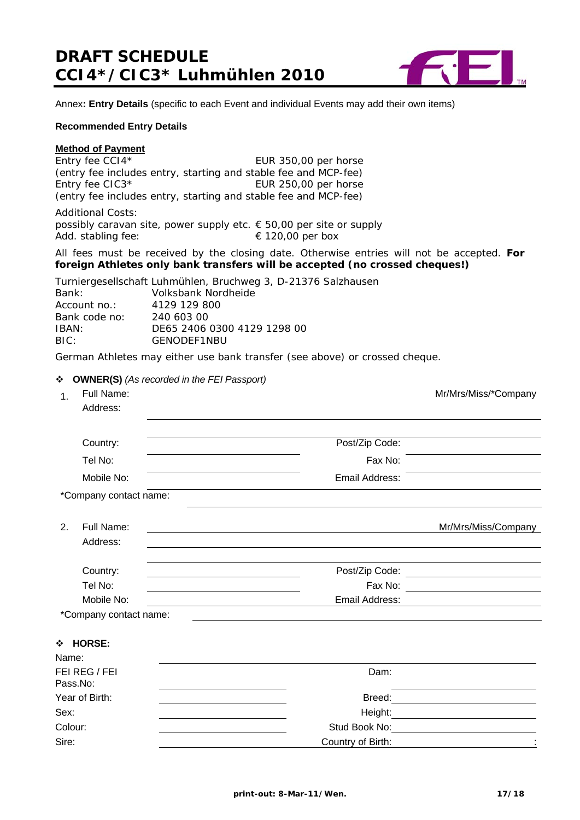

Annex**: Entry Details** (specific to each Event and individual Events may add their own items)

#### **Recommended Entry Details**

#### **Method of Payment**

Entry fee CCI4\* EUR 350,00 per horse (entry fee includes entry, starting and stable fee and MCP-fee) Entry fee CIC3\* EUR 250,00 per horse (entry fee includes entry, starting and stable fee and MCP-fee) Additional Costs:

possibly caravan site, power supply etc. € 50,00 per site or supply Add. stabling fee:  $\epsilon$  120,00 per box

All fees must be received by the closing date. Otherwise entries will not be accepted. **For foreign Athletes only bank transfers will be accepted (no crossed cheques!)**

Turniergesellschaft Luhmühlen, Bruchweg 3, D-21376 Salzhausen Bank: Volksbank Nordheide Account no.: 4129 129 800 Bank code no: 240 603 00 IBAN: DE65 2406 0300 4129 1298 00 BIC: GENODEF1NBU

German Athletes may either use bank transfer (see above) or crossed cheque.

#### **OWNER(S)** *(As recorded in the FEI Passport)*

| 1.    | Full Name:<br>Address:    |                | Mr/Mrs/Miss/*Company           |
|-------|---------------------------|----------------|--------------------------------|
|       | Country:                  | Post/Zip Code: |                                |
|       | Tel No:                   | Fax No:        |                                |
|       | Mobile No:                | Email Address: |                                |
|       | *Company contact name:    |                |                                |
| 2.    | Full Name:                |                | Mr/Mrs/Miss/Company            |
|       | Address:                  |                |                                |
|       | Country:                  |                |                                |
|       | Tel No:                   |                | Fax No: $\qquad \qquad \qquad$ |
|       | Mobile No:                | Email Address: |                                |
|       | *Company contact name:    |                |                                |
| Name: | ❖ HORSE:                  |                |                                |
|       | FEI REG / FEI<br>Pass.No: | Dam:           |                                |
|       | Year of Birth:            | Breed:         |                                |

Sex: Height: Colour: Stud Book No: